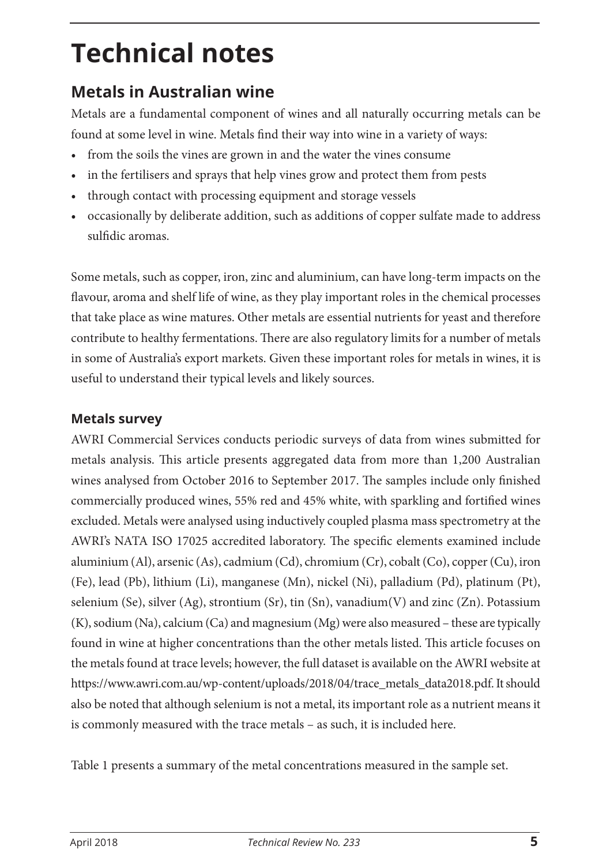# **Technical notes**

# **Metals in Australian wine**

Metals are a fundamental component of wines and all naturally occurring metals can be found at some level in wine. Metals find their way into wine in a variety of ways:

- from the soils the vines are grown in and the water the vines consume
- in the fertilisers and sprays that help vines grow and protect them from pests
- through contact with processing equipment and storage vessels
- occasionally by deliberate addition, such as additions of copper sulfate made to address sulfidic aromas.

Some metals, such as copper, iron, zinc and aluminium, can have long-term impacts on the flavour, aroma and shelf life of wine, as they play important roles in the chemical processes that take place as wine matures. Other metals are essential nutrients for yeast and therefore contribute to healthy fermentations. There are also regulatory limits for a number of metals in some of Australia's export markets. Given these important roles for metals in wines, it is useful to understand their typical levels and likely sources.

## **Metals survey**

AWRI Commercial Services conducts periodic surveys of data from wines submitted for metals analysis. This article presents aggregated data from more than 1,200 Australian wines analysed from October 2016 to September 2017. The samples include only finished commercially produced wines, 55% red and 45% white, with sparkling and fortified wines excluded. Metals were analysed using inductively coupled plasma mass spectrometry at the AWRI's NATA ISO 17025 accredited laboratory. The specific elements examined include aluminium (Al), arsenic (As), cadmium (Cd), chromium (Cr), cobalt (Co), copper (Cu), iron (Fe), lead (Pb), lithium (Li), manganese (Mn), nickel (Ni), palladium (Pd), platinum (Pt), selenium (Se), silver (Ag), strontium (Sr), tin (Sn), vanadium(V) and zinc (Zn). Potassium (K), sodium (Na), calcium (Ca) and magnesium (Mg) were also measured – these are typically found in wine at higher concentrations than the other metals listed. This article focuses on the metals found at trace levels; however, the full dataset is available on the AWRI website at https://www.awri.com.au/wp-content/uploads/2018/04/trace\_metals\_data2018.pdf. It should also be noted that although selenium is not a metal, its important role as a nutrient means it is commonly measured with the trace metals – as such, it is included here.

Table 1 presents a summary of the metal concentrations measured in the sample set.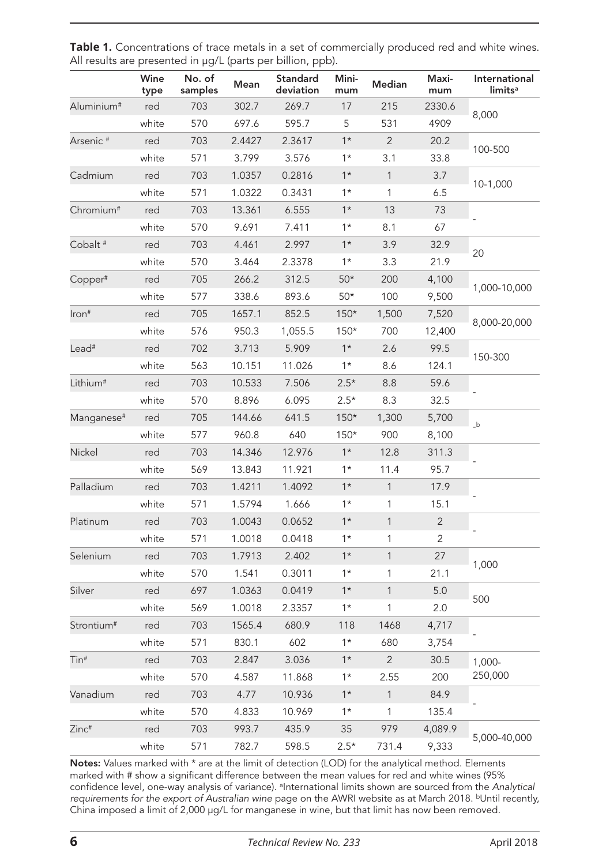|                        | Wine<br>type | No. of<br>samples | Mean   | Standard<br>deviation | Mini-<br>mum | Median         | Maxi-<br>mum   | International<br>limits <sup>a</sup> |
|------------------------|--------------|-------------------|--------|-----------------------|--------------|----------------|----------------|--------------------------------------|
| Aluminium <sup>#</sup> | red          | 703               | 302.7  | 269.7                 | 17           | 215            | 2330.6         | 8,000                                |
|                        | white        | 570               | 697.6  | 595.7                 | 5            | 531            | 4909           |                                      |
| Arsenic <sup>#</sup>   | red          | 703               | 2.4427 | 2.3617                | $1*$         | $\overline{2}$ | 20.2           | 100-500                              |
|                        | white        | 571               | 3.799  | 3.576                 | $1*$         | 3.1            | 33.8           |                                      |
| Cadmium                | red          | 703               | 1.0357 | 0.2816                | $1*$         | $\mathbf{1}$   | 3.7            | 10-1,000                             |
|                        | white        | 571               | 1.0322 | 0.3431                | $1*$         | 1              | 6.5            |                                      |
| Chromium <sup>#</sup>  | red          | 703               | 13.361 | 6.555                 | $1*$         | 13             | 73             |                                      |
|                        | white        | 570               | 9.691  | 7.411                 | $1*$         | 8.1            | 67             |                                      |
| Cobalt <sup>#</sup>    | red          | 703               | 4.461  | 2.997                 | $1*$         | 3.9            | 32.9           | 20                                   |
|                        | white        | 570               | 3.464  | 2.3378                | $1*$         | 3.3            | 21.9           |                                      |
| Copper#                | red          | 705               | 266.2  | 312.5                 | $50*$        | 200            | 4,100          | 1,000-10,000                         |
|                        | white        | 577               | 338.6  | 893.6                 | $50*$        | 100            | 9,500          |                                      |
| Iron#                  | red          | 705               | 1657.1 | 852.5                 | $150*$       | 1,500          | 7,520          | 8,000-20,000                         |
|                        | white        | 576               | 950.3  | 1,055.5               | $150*$       | 700            | 12,400         |                                      |
| Lead <sup>#</sup>      | red          | 702               | 3.713  | 5.909                 | $1*$         | 2.6            | 99.5           | 150-300                              |
|                        | white        | 563               | 10.151 | 11.026                | $1*$         | 8.6            | 124.1          |                                      |
| Lithium <sup>#</sup>   | red          | 703               | 10.533 | 7.506                 | $2.5*$       | 8.8            | 59.6           |                                      |
|                        | white        | 570               | 8.896  | 6.095                 | $2.5*$       | 8.3            | 32.5           |                                      |
| Manganese <sup>#</sup> | red          | 705               | 144.66 | 641.5                 | $150*$       | 1,300          | 5,700          | $\mathbf b$                          |
|                        | white        | 577               | 960.8  | 640                   | $150*$       | 900            | 8,100          |                                      |
| Nickel                 | red          | 703               | 14.346 | 12.976                | $1*$         | 12.8           | 311.3          |                                      |
|                        | white        | 569               | 13.843 | 11.921                | $1*$         | 11.4           | 95.7           |                                      |
| Palladium              | red          | 703               | 1.4211 | 1.4092                | $1*$         | $\mathbf{1}$   | 17.9           |                                      |
|                        | white        | 571               | 1.5794 | 1.666                 | $1*$         | 1              | 15.1           |                                      |
| Platinum               | red          | 703               | 1.0043 | 0.0652                | $1*$         | $\mathbf{1}$   | $\overline{2}$ |                                      |
|                        | white        | 571               | 1.0018 | 0.0418                | $1*$         | 1              | 2              |                                      |
| Selenium               | red          | 703               | 1.7913 | 2.402                 | $1*$         | $\mathbf{1}$   | 27             | 1,000                                |
|                        | white        | 570               | 1.541  | 0.3011                | $1*$         | 1              | 21.1           |                                      |
| Silver                 | red          | 697               | 1.0363 | 0.0419                | $1*$         | $\mathbf{1}$   | 5.0            | 500                                  |
|                        | white        | 569               | 1.0018 | 2.3357                | $1*$         | 1              | 2.0            |                                      |
| Strontium <sup>#</sup> | red          | 703               | 1565.4 | 680.9                 | 118          | 1468           | 4,717          |                                      |
|                        | white        | 571               | 830.1  | 602                   | $1*$         | 680            | 3,754          |                                      |
| Tin#                   | red          | 703               | 2.847  | 3.036                 | $1*$         | $\overline{2}$ | 30.5           | 1,000-<br>250,000                    |
|                        | white        | 570               | 4.587  | 11.868                | $1*$         | 2.55           | 200            |                                      |
| Vanadium               | red          | 703               | 4.77   | 10.936                | $1*$         | $\mathbf{1}$   | 84.9           |                                      |
|                        | white        | 570               | 4.833  | 10.969                | $1*$         | 1              | 135.4          |                                      |
| Zinc#                  | red          | 703               | 993.7  | 435.9                 | 35           | 979            | 4,089.9        | 5,000-40,000                         |
|                        | white        | 571               | 782.7  | 598.5                 | $2.5*$       | 731.4          | 9,333          |                                      |

| Table 1. Concentrations of trace metals in a set of commercially produced red and white wines. |  |
|------------------------------------------------------------------------------------------------|--|
| All results are presented in µg/L (parts per billion, ppb).                                    |  |

Notes: Values marked with \* are at the limit of detection (LOD) for the analytical method. Elements marked with # show a significant difference between the mean values for red and white wines (95% confidence level, one-way analysis of variance). aInternational limits shown are sourced from the *Analytical*  requirements for the export of Australian wine page on the AWRI website as at March 2018. <sup>b</sup>Until recently, China imposed a limit of 2,000 µg/L for manganese in wine, but that limit has now been removed.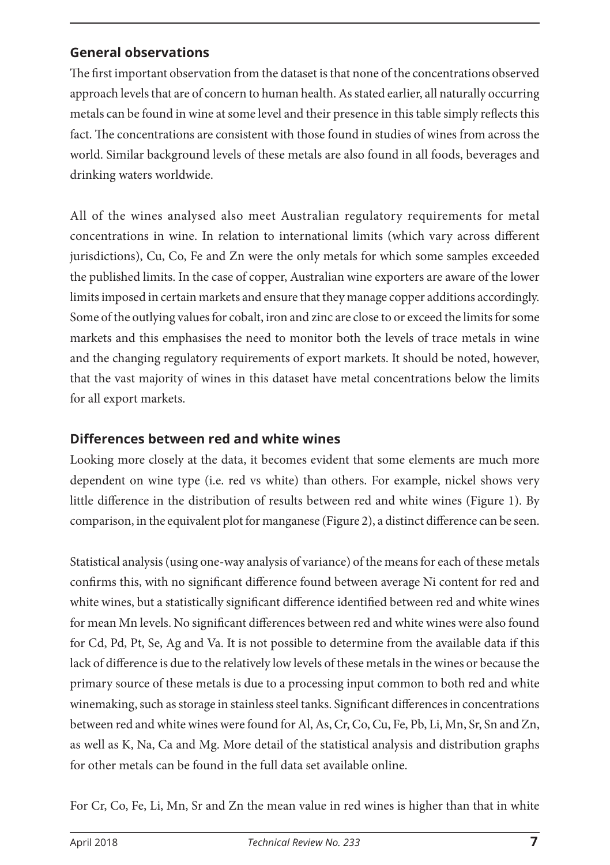#### **General observations**

The first important observation from the dataset is that none of the concentrations observed approach levels that are of concern to human health. As stated earlier, all naturally occurring metals can be found in wine at some level and their presence in this table simply reflects this fact. The concentrations are consistent with those found in studies of wines from across the world. Similar background levels of these metals are also found in all foods, beverages and drinking waters worldwide.

All of the wines analysed also meet Australian regulatory requirements for metal concentrations in wine. In relation to international limits (which vary across different jurisdictions), Cu, Co, Fe and Zn were the only metals for which some samples exceeded the published limits. In the case of copper, Australian wine exporters are aware of the lower limits imposed in certain markets and ensure that they manage copper additions accordingly. Some of the outlying values for cobalt, iron and zinc are close to or exceed the limits for some markets and this emphasises the need to monitor both the levels of trace metals in wine and the changing regulatory requirements of export markets. It should be noted, however, that the vast majority of wines in this dataset have metal concentrations below the limits for all export markets.

#### **Differences between red and white wines**

Looking more closely at the data, it becomes evident that some elements are much more dependent on wine type (i.e. red vs white) than others. For example, nickel shows very little difference in the distribution of results between red and white wines (Figure 1). By comparison, in the equivalent plot for manganese (Figure 2), a distinct difference can be seen.

Statistical analysis (using one-way analysis of variance) of the means for each of these metals confirms this, with no significant difference found between average Ni content for red and white wines, but a statistically significant difference identified between red and white wines for mean Mn levels. No significant differences between red and white wines were also found for Cd, Pd, Pt, Se, Ag and Va. It is not possible to determine from the available data if this lack of difference is due to the relatively low levels of these metals in the wines or because the primary source of these metals is due to a processing input common to both red and white winemaking, such as storage in stainless steel tanks. Significant differences in concentrations between red and white wines were found for Al, As, Cr, Co, Cu, Fe, Pb, Li, Mn, Sr, Sn and Zn, as well as K, Na, Ca and Mg. More detail of the statistical analysis and distribution graphs for other metals can be found in the full data set available online.

For Cr, Co, Fe, Li, Mn, Sr and Zn the mean value in red wines is higher than that in white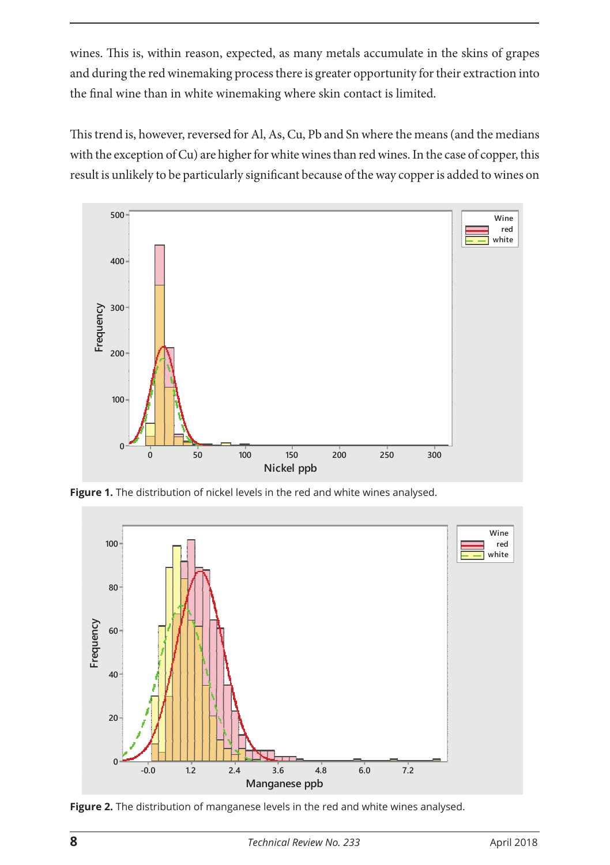wines. This is, within reason, expected, as many metals accumulate in the skins of grapes and during the red winemaking process there is greater opportunity for their extraction into the final wine than in white winemaking where skin contact is limited.

This trend is, however, reversed for Al, As, Cu, Pb and Sn where the means (and the medians with the exception of Cu) are higher for white wines than red wines. In the case of copper, this result is unlikely to be particularly significant because of the way copper is added to wines on



**Figure 1.** The distribution of nickel levels in the red and white wines analysed.



**Figure 2.** The distribution of manganese levels in the red and white wines analysed.